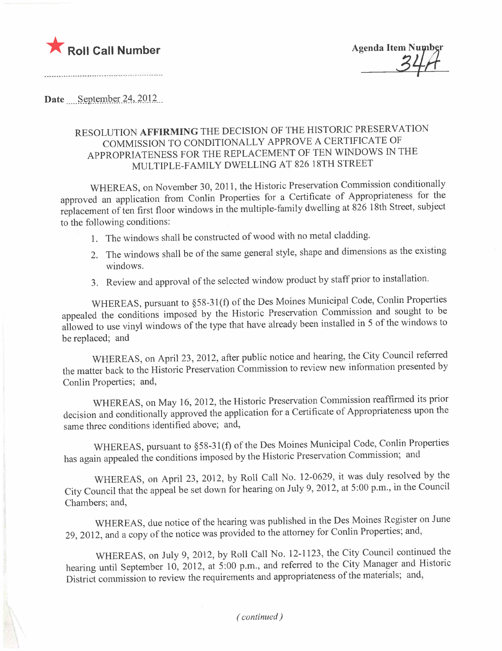

...-\_.........................................................

Date September  $24,2012$ 

## RESOLUTION AFFIRMING THE DECISION OF THE HISTORIC PRESERVATION COMMISSION TO CONDITIONALLY APPROVE A CERTIFICATE OF APPROPRIATENESS FOR THE REPLACEMENT OF TEN WINDOWS IN THE MULTIPLE-FAMILY DWELLING AT 826 18TH STREET

WHEREAS, on November 30,2011, the Historic Preservation Commission conditionally approved an application from Conlin Properties for a Certificate of Appropriateness for the replacement of ten first floor windows in the multiple-family dwelling at 826 18th Street, subject to the following conditions:

- 1. The windows shall be constructed of wood with no metal cladding.
- 2. The windows shall be of the same general style, shape and dimensions as the existing windows.
- 3. Review and approval of the selected window product by staff prior to installation.

WHEREAS, pursuant to §58-31(f) of the Des Moines Municipal Code, Conlin Properties appealed the conditions imposed by the Historic Preservation Commission and sought to be allowed to use vinyl windows of the type that have already been installed in 5 of the windows to be replaced; and

WHEREAS, on April 23, 2012, after public notice and hearing, the City Council referred the matter back to the Historic Preservation Commission to review new information presented by Conlin Properties; and,

WHEREAS, on May 16, 2012, the Historic Preservation Commission reaffirmed its prior decision and conditionally approved the application for a Certificate of Appropriateness upon the same three conditions identified above; and,

WHEREAS, pursuant to §58-31(f) of the Des Moines Municipal Code, Conlin Properties has again appealed the conditions imposed by the Historic Preservation Commission; and

WHEREAS, on April 23, 2012, by Roll Call No. 12-0629, it was duly resolved by the City Council that the appeal be set down for hearing on July 9,2012, at 5:00 p.m., in the Council Chambers; and,

WHEREAS, due notice of the hearing was published in the Des Moines Register on June 29,2012, and a copy of the notice was provided to the attorney for Conlin Properties; and,

WHEREAS, on July 9,2012, by Roll Call No. 12-1123, the City Council continued the hearing until September 10, 2012, at 5:00 p.m., and referred to the City Manager and Historic District commission to review the requirements and appropriateness of the materials; and,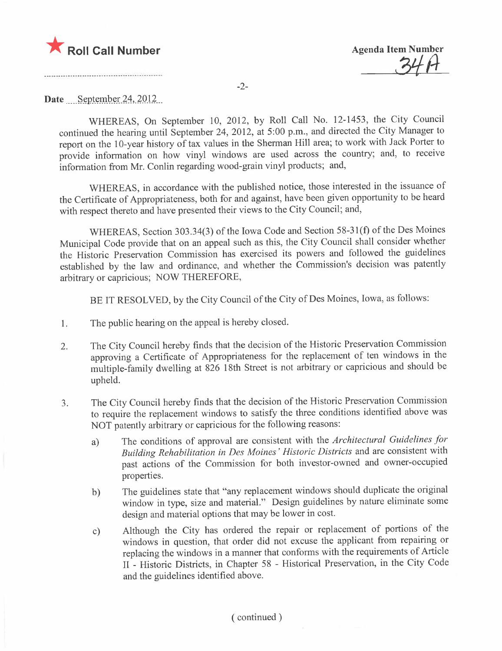

34 A

-2-

## Date September 24,  $2012$

WHEREAS, On September 10, 2012, by Roll Call No. 12-1453, the City Council continued the hearing until September 24, 2012, at 5 :00 p.m., and directed the City Manager to report on the 10-year history of tax values in the Sherman Hil area; to work with Jack Porter to provide information on how vinyl windows are used across the country; and, to receive information from Mr. Conlin regarding wood-grain vinyl products; and,

WHEREAS, in accordance with the published notice, those interested in the issuance of the Certificate of Appropriateness, both for and against, have been given opportunity to be heard with respect thereto and have presented their views to the City Council; and,

WHEREAS, Section 303.34(3) of the Iowa Code and Section 58-31(f) of the Des Moines Municipal Code provide that on an appeal such as this, the City Council shall consider whether the Historic Preservation Commission has exercised its powers and followed the guidelines established by the law and ordinance, and whether the Commission's decision was patently arbitrary or capricious; NOW THEREFORE,

BE IT RESOLVED, by the City Council of the City of Des Moines, Iowa, as follows:

- 1. The public hearing on the appeal is hereby closed.
- 2. The City Council hereby finds that the decision of the Historic Preservation Commission approving a Certificate of Appropriateness for the replacement of ten windows in the multiple-family dwelling at 826 18th Street is not arbitrary or capricious and should be upheld.
- 3. The City Council hereby finds that the decision of the Historic Preservation Commission to require the replacement windows to satisfy the three conditions identified above was NOT patently arbitrary or capricious for the following reasons:
	- a) The conditions of approval are consistent with the Architectural Guidelines for Building Rehabiltation in Des Moines' Historic Districts and are consistent with past actions of the Commission for both investor-owned and owner-occupied properties.
	- b) The guidelines state that "any replacement windows should duplicate the original window in type, size and materiaL." Design guidelines by nature eliminate some design and material options that may be lower in cost.
	- c) Although the City has ordered the repair or replacement of portions of the windows in question, that order did not excuse the applicant from repairing or replacing the windows in a manner that conforms with the requirements of Article II - Historic Districts, in Chapter 58 - Historical Preservation, in the City Code and the guidelines identified above.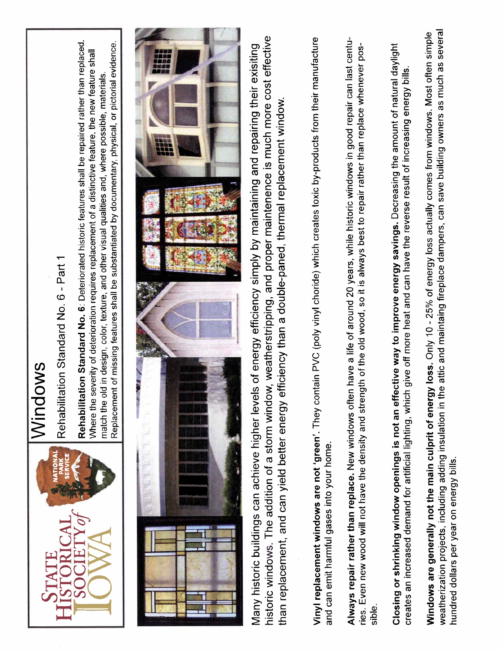

## Windows

Rehabilitation Standard No. 6 - Part 1 Rehabilitation Standard NO.6 - Part 1 Rehabilitation Standard No. 6: Deteriorated historic features shall be repaired rather than replaced. Replacement of missing features shall be substantiated by documentary, physical, or pictorial evidence. Rehabilitation Standard No.6: Deteriorated historic features shall be repaired rather than replaced. Replacement of missing features shall be substantiated by documentary, physical, or pictorial evidence. Where the severity of deterioration requires replacement of a distinctive feature, the new feature shall Where the severity of deterioration requires replacement of a distinctive feature, the new feature shall match the old in design, color, texture, and other visual qualities and, where possible, materials. match the old in design, color, texture, and other visual qualities and, where possible, materials,



historic windows. The addition of a storm window, weatherstripping, and proper maintenence is much more cost effective historic windows. The addition of a storm window, weatherstripping, and proper maintenence is much more cost effective Many historic buildings can achieve higher levels of energy efficiency simply by maintaining and repairing their exisiting Many historic buildings can achieve higher levels of energy efficiency simply by maintaining and repairing their exisiting than replacement, and can yield better energy efficiency than a double-paned, thermal replacement window. than replacement, and can yield better energy efficiency than a double-paned, thermal replacement window.

Vinyl replacement windows are not 'green'. They contain PVC (poly vinyl choride) which creates toxic by-products from their manufacture Vinyl replacement windows are not 'green'. They contain PVC (poly vinyl choride) which creates toxic by-products from their manufacture and can emit harmful gases into your home. and can emit harmful gases into your home.

Always repair rather than replace. New windows often have a life of around 20 years, while historic windows in good repair can last centu-Always repair rather than replace. New windows often have a life of around 20 years, while historic windows in good repair can last centuries. Even new wood will not have the density and strength of the old wood, so it is always best to repair rather than replace whenever posries. Even new wood wil not have the density and strength of the old wood, so it is always best to repair rather than replace whenever possible.

Closing or shrinking window openings is not an effective way to improve energy savings. Decreasing the amount of natural daylight Closing or shrinking window openings is not an effective way to improve energy savings. Decreasing the amount of natural daylight creates an increased demand for artificial lighting, which give off more heat and can have the reverse result of increasing energy bills. creates an increased demand for artificial lighting, which give off more heat and can have the reverse result of increasing energy bills.

weatherization projects, including adding insulation in the attic and maintaing fireplace dampers, can save building owners as much as several Windows are generally not the main culprit of energy loss. Only 10 - 25% of energy loss actually comes from windows. Most often simple weatherization projects, including adding insulation in the attic and maintaing fireplace dampers, can save building owners as much as several windows are generally not the main culprit of energy loss. Only 10 - 25% on energy loss actually culprit of the main culprit of the main culprit of the main culprit of the main culprit of the main culprit of the generally hundred dollars per year on energy bills. hundred dollars per year on energy bils.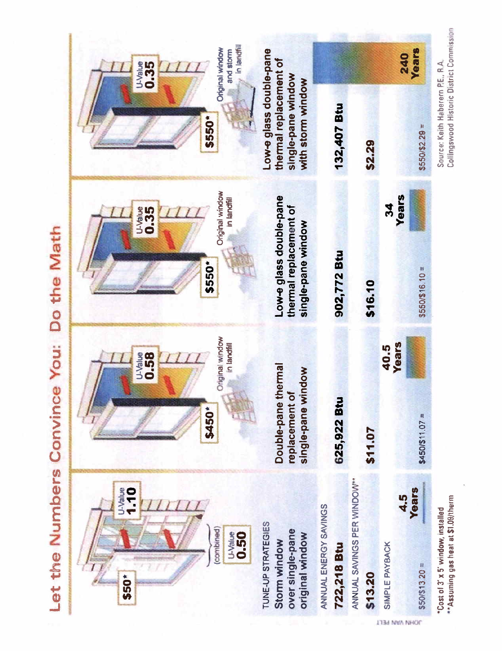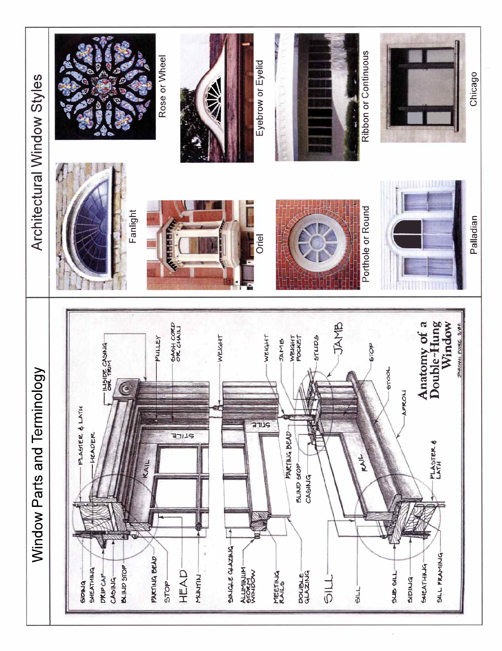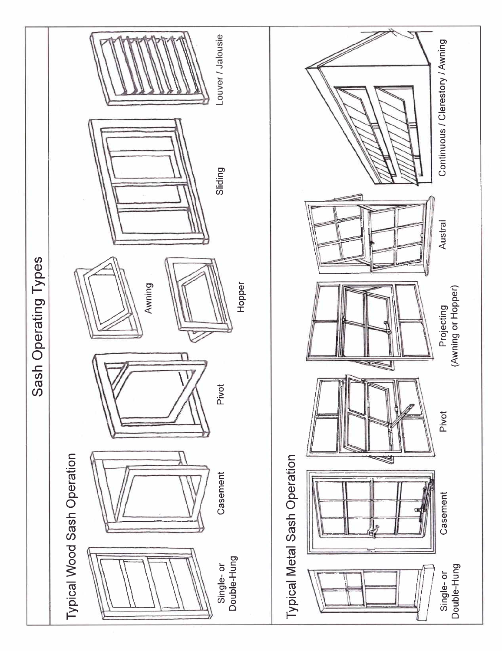